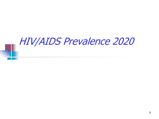## HIV/AIDS Prevalence 2020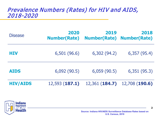### Prevalence Numbers (Rates) for HIV and AIDS, 2018-2020

| <b>Disease</b>  | 2020<br><b>Number(Rate)</b> | 2019<br><b>Number(Rate) Number(Rate)</b> | 2018           |
|-----------------|-----------------------------|------------------------------------------|----------------|
| HIV             | 6,501 (96.6)                | 6,302 (94.2)                             | 6,357(95.4)    |
| <b>AIDS</b>     | 6,092(90.5)                 | 6,059(90.5)                              | 6,351(95.3)    |
| <b>HIV/AIDS</b> | 12,593 (187.1)              | 12,361 (184.7)                           | 12,708 (190.6) |

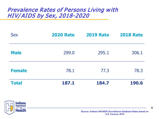### Prevalence Rates of Persons Living with HIV/ AIDS by Sex, 2018-2020

| <b>Sex</b>    | <b>2020 Rate</b> | <b>2019 Rate</b> | <b>2018 Rate</b> |
|---------------|------------------|------------------|------------------|
| <b>Male</b>   | 299.0            | 295.1            | 306.1            |
| <b>Female</b> | 78.1             | 77.3             | 78.3             |
| <b>Total</b>  | 187.1            | 184.7            | <b>190.6</b>     |

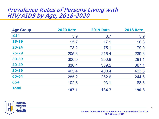### Prevalence Rates of Persons Living with HIV/ AIDS by Age, 2018-2020

| <b>Age Group</b> | <b>2020 Rate</b> | <b>2019 Rate</b> | <b>2018 Rate</b> |
|------------------|------------------|------------------|------------------|
| $\leq 14$        | 3.9              | 3.7              | 3.9              |
| $15 - 19$        | 15.7             | 17.1             | 16.8             |
| $20 - 24$        | 73.2             | 75.1             | 79.0             |
| $25 - 29$        | 205.6            | 216.4            | 239.6            |
| 30-39            | 306.0            | 300.9            | 291.1            |
| 40-49            | 336.4            | 339.2            | 367.1            |
| 50-59            | 405.4            | 400.4            | 423.3            |
| 60-64            | 285.2            | 262.6            | 244.6            |
| $65+$            | 102.8            | 93.1             | 88.6             |
| <b>Total</b>     | 187.1            | 184.7            | 190.6            |

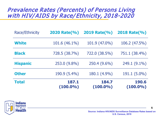### Prevalence Rates (Percents) of Persons Living with HIV/ AIDS by Race/ Ethnicity, 2018-2020

| Race/Ethnicity  | 2020 Rate(%)         | 2019 Rate(%)         | 2018 Rate(%)                |
|-----------------|----------------------|----------------------|-----------------------------|
| <b>White</b>    | 101.6 (46.1%)        | 101.9 (47.0%)        | 106.2 (47.5%)               |
| <b>Black</b>    | 728.5 (38.7%)        | 722.0 (38.5%)        | 751.1 (38.4%)               |
| <b>Hispanic</b> | 253.0 (9.8%)         | 250.4 (9.6%)         | 249.1 (9.1%)                |
| <b>Other</b>    | 190.9 (5.4%)         | 180.1 (4.9%)         | 191.1 (5.0%)                |
| <b>Total</b>    | 187.1<br>$(100.0\%)$ | 184.7<br>$(100.0\%)$ | <b>190.6</b><br>$(100.0\%)$ |

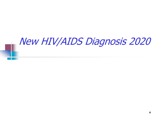# New HIV/AIDS Diagnosis 2020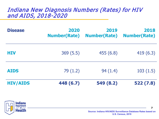### Indiana New Diagnosis Numbers (Rates) for HIV and AIDS, 2018-2020

| <b>Disease</b>  | 2020<br><b>Number(Rate)</b> | 2019<br><b>Number(Rate)</b> | 2018<br><b>Number(Rate)</b> |
|-----------------|-----------------------------|-----------------------------|-----------------------------|
| <b>HIV</b>      | 369(5.5)                    | 455(6.8)                    | 419(6.3)                    |
| <b>AIDS</b>     | 79(1.2)                     | 94(1.4)                     | 103(1.5)                    |
| <b>HIV/AIDS</b> | 448 (6.7)                   | 549 (8.2)                   | 522(7.8)                    |

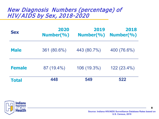### New Diagnosis Numbers (percentage) of HIV/ AIDS by Sex, 2018-2020

| <b>Sex</b>    | 2020<br>Number(%) | 2019<br>Number(%) | 2018<br>Number(%) |
|---------------|-------------------|-------------------|-------------------|
| <b>Male</b>   | 361 (80.6%)       | 443 (80.7%)       | 400 (76.6%)       |
| <b>Female</b> | 87 (19.4%)        | 106 (19.3%)       | 122 (23.4%)       |
| <b>Total</b>  | 448               | 549               | 522               |

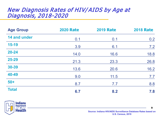### New Diagnosis Rates of HIV/AIDS by Age at Diagnosis, 2018-2020

| <b>Age Group</b> | <b>2020 Rate</b> | <b>2019 Rate</b> | <b>2018 Rate</b> |
|------------------|------------------|------------------|------------------|
| 14 and under     | 0.1              | 0.1              | 0.2              |
| $15-19$          | 3.9              | 6.1              | 7.2              |
| $20 - 24$        | 14.0             | 16.6             | 18.8             |
| 25-29            | 21.3             | 23.3             | 26.8             |
| 30-39            | 13.6             | 20.6             | 16.2             |
| 40-49            | 9.0              | 11.5             | 7.7              |
| $50+$            | 8.7              | 7.7              | 8.8              |
| <b>Total</b>     | 6.7              | 8.2              | 7.8              |